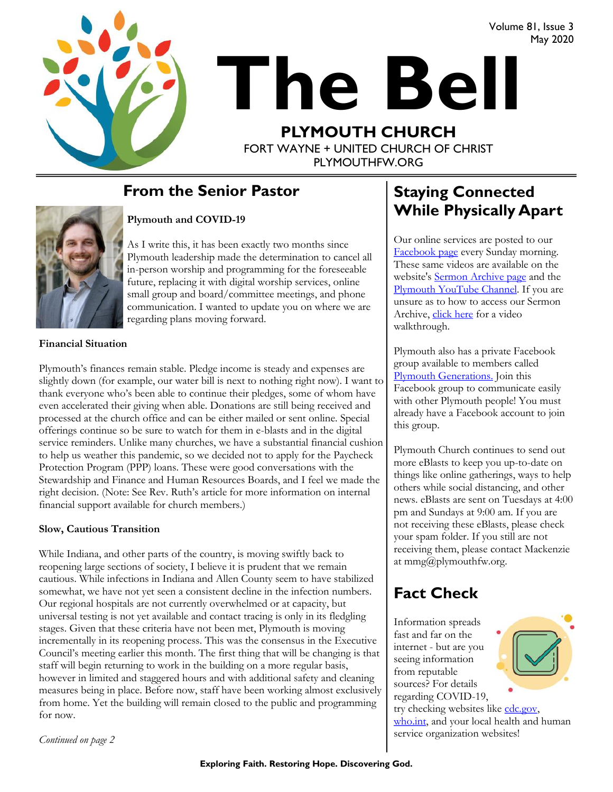Volume 81, Issue 3 May 2020



# **The Bell PLYMOUTH CHURCH**

FORT WAYNE + UNITED CHURCH OF CHRIST PLYMOUTHFW.ORG

## **From the Senior Pastor**



#### **Plymouth and COVID-19**

As I write this, it has been exactly two months since Plymouth leadership made the determination to cancel all in-person worship and programming for the foreseeable future, replacing it with digital worship services, online small group and board/committee meetings, and phone communication. I wanted to update you on where we are regarding plans moving forward.

#### **Financial Situation**

Plymouth's finances remain stable. Pledge income is steady and expenses are slightly down (for example, our water bill is next to nothing right now). I want to thank everyone who's been able to continue their pledges, some of whom have even accelerated their giving when able. Donations are still being received and processed at the church office and can be either mailed or sent online. Special offerings continue so be sure to watch for them in e-blasts and in the digital service reminders. Unlike many churches, we have a substantial financial cushion to help us weather this pandemic, so we decided not to apply for the Paycheck Protection Program (PPP) loans. These were good conversations with the Stewardship and Finance and Human Resources Boards, and I feel we made the right decision. (Note: See Rev. Ruth's article for more information on internal financial support available for church members.)

#### **Slow, Cautious Transition**

While Indiana, and other parts of the country, is moving swiftly back to reopening large sections of society, I believe it is prudent that we remain cautious. While infections in Indiana and Allen County seem to have stabilized somewhat, we have not yet seen a consistent decline in the infection numbers. Our regional hospitals are not currently overwhelmed or at capacity, but universal testing is not yet available and contact tracing is only in its fledgling stages. Given that these criteria have not been met, Plymouth is moving incrementally in its reopening process. This was the consensus in the Executive Council's meeting earlier this month. The first thing that will be changing is that staff will begin returning to work in the building on a more regular basis, however in limited and staggered hours and with additional safety and cleaning measures being in place. Before now, staff have been working almost exclusively from home. Yet the building will remain closed to the public and programming for now.

## **Staying Connected While Physically Apart**

Our online services are posted to our [Facebook page](fb.com/plymouthfw) every Sunday morning. These same videos are available on the website's **[Sermon Archive page](https://www.plymouthfw.org/sermon-archive)** and the [Plymouth YouTube Channel.](https://www.youtube.com/plymouthchurchfw) If you are unsure as to how to access our Sermon Archive, *[click here](https://www.youtube.com/watch?v=R-19CfTmDeA)* for a video walkthrough.

Plymouth also has a private Facebook group available to members called [Plymouth Generations.](https://www.facebook.com/groups/1487066224952817/) Join this Facebook group to communicate easily with other Plymouth people! You must already have a Facebook account to join this group.

Plymouth Church continues to send out more eBlasts to keep you up-to-date on things like online gatherings, ways to help others while social distancing, and other news. eBlasts are sent on Tuesdays at 4:00 pm and Sundays at 9:00 am. If you are not receiving these eBlasts, please check your spam folder. If you still are not receiving them, please contact Mackenzie at mmg@plymouthfw.org.

## **Fact Check**

Information spreads fast and far on the internet - but are you seeing information from reputable sources? For details regarding COVID-19,

try checking websites like [cdc.gov,](cdc.gov) [who.int,](who.int) and your local health and human service organization websites!

*Continued on page 2*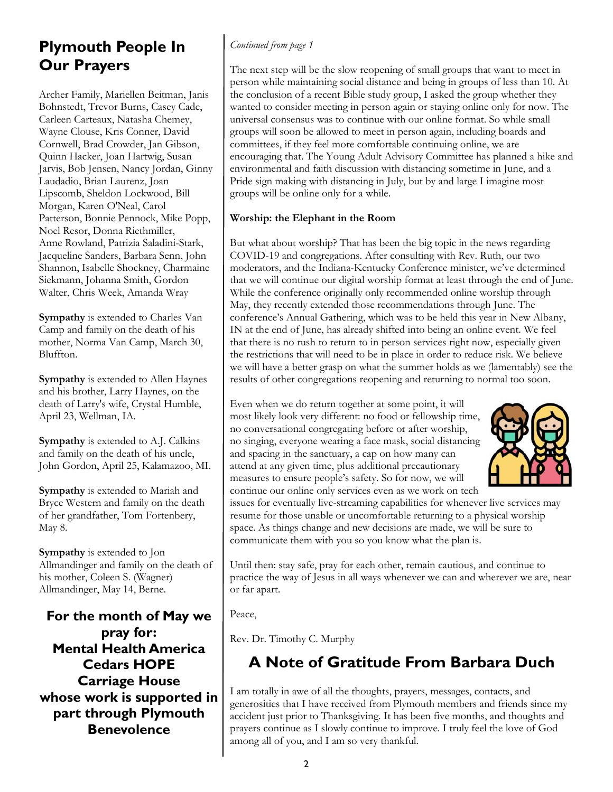## **Plymouth People In Our Prayers**

Archer Family, Mariellen Beitman, Janis Bohnstedt, Trevor Burns, Casey Cade, Carleen Carteaux, Natasha Chemey, Wayne Clouse, Kris Conner, David Cornwell, Brad Crowder, Jan Gibson, Quinn Hacker, Joan Hartwig, Susan Jarvis, Bob Jensen, Nancy Jordan, Ginny Laudadio, Brian Laurenz, Joan Lipscomb, Sheldon Lockwood, Bill Morgan, Karen O'Neal, Carol Patterson, Bonnie Pennock, Mike Popp, Noel Resor, Donna Riethmiller, Anne Rowland, Patrizia Saladini-Stark, Jacqueline Sanders, Barbara Senn, John Shannon, Isabelle Shockney, Charmaine Siekmann, Johanna Smith, Gordon Walter, Chris Week, Amanda Wray

**Sympathy** is extended to Charles Van Camp and family on the death of his mother, Norma Van Camp, March 30, Bluffton.

**Sympathy** is extended to Allen Haynes and his brother, Larry Haynes, on the death of Larry's wife, Crystal Humble, April 23, Wellman, IA.

**Sympathy** is extended to A.J. Calkins and family on the death of his uncle, John Gordon, April 25, Kalamazoo, MI.

**Sympathy** is extended to Mariah and Bryce Western and family on the death of her grandfather, Tom Fortenbery, May 8.

**Sympathy** is extended to Jon Allmandinger and family on the death of his mother, Coleen S. (Wagner) Allmandinger, May 14, Berne.

**For the month of May we pray for: Mental Health America Cedars HOPE Carriage House whose work is supported in part through Plymouth Benevolence**

#### *Continued from page 1*

The next step will be the slow reopening of small groups that want to meet in person while maintaining social distance and being in groups of less than 10. At the conclusion of a recent Bible study group, I asked the group whether they wanted to consider meeting in person again or staying online only for now. The universal consensus was to continue with our online format. So while small groups will soon be allowed to meet in person again, including boards and committees, if they feel more comfortable continuing online, we are encouraging that. The Young Adult Advisory Committee has planned a hike and environmental and faith discussion with distancing sometime in June, and a Pride sign making with distancing in July, but by and large I imagine most groups will be online only for a while.

#### **Worship: the Elephant in the Room**

But what about worship? That has been the big topic in the news regarding COVID-19 and congregations. After consulting with Rev. Ruth, our two moderators, and the Indiana-Kentucky Conference minister, we've determined that we will continue our digital worship format at least through the end of June. While the conference originally only recommended online worship through May, they recently extended those recommendations through June. The conference's Annual Gathering, which was to be held this year in New Albany, IN at the end of June, has already shifted into being an online event. We feel that there is no rush to return to in person services right now, especially given the restrictions that will need to be in place in order to reduce risk. We believe we will have a better grasp on what the summer holds as we (lamentably) see the results of other congregations reopening and returning to normal too soon.

Even when we do return together at some point, it will most likely look very different: no food or fellowship time, no conversational congregating before or after worship, no singing, everyone wearing a face mask, social distancing and spacing in the sanctuary, a cap on how many can attend at any given time, plus additional precautionary measures to ensure people's safety. So for now, we will continue our online only services even as we work on tech



issues for eventually live-streaming capabilities for whenever live services may resume for those unable or uncomfortable returning to a physical worship space. As things change and new decisions are made, we will be sure to communicate them with you so you know what the plan is.

Until then: stay safe, pray for each other, remain cautious, and continue to practice the way of Jesus in all ways whenever we can and wherever we are, near or far apart.

Peace,

Rev. Dr. Timothy C. Murphy

## **A Note of Gratitude From Barbara Duch**

I am totally in awe of all the thoughts, prayers, messages, contacts, and generosities that I have received from Plymouth members and friends since my accident just prior to Thanksgiving. It has been five months, and thoughts and prayers continue as I slowly continue to improve. I truly feel the love of God among all of you, and I am so very thankful.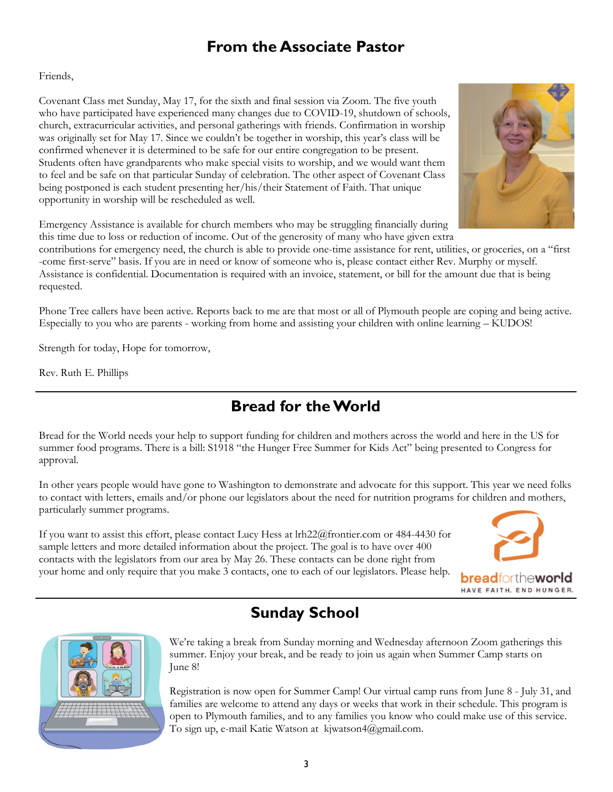## **From the Associate Pastor**

#### Friends,

Covenant Class met Sunday, May 17, for the sixth and final session via Zoom. The five youth who have participated have experienced many changes due to COVID-19, shutdown of schools, church, extracurricular activities, and personal gatherings with friends. Confirmation in worship was originally set for May 17. Since we couldn't be together in worship, this year's class will be confirmed whenever it is determined to be safe for our entire congregation to be present. Students often have grandparents who make special visits to worship, and we would want them to feel and be safe on that particular Sunday of celebration. The other aspect of Covenant Class being postponed is each student presenting her/his/their Statement of Faith. That unique opportunity in worship will be rescheduled as well.



Emergency Assistance is available for church members who may be struggling financially during this time due to loss or reduction of income. Out of the generosity of many who have given extra

contributions for emergency need, the church is able to provide one-time assistance for rent, utilities, or groceries, on a "first -come first-serve" basis. If you are in need or know of someone who is, please contact either Rev. Murphy or myself. Assistance is confidential. Documentation is required with an invoice, statement, or bill for the amount due that is being requested.

Phone Tree callers have been active. Reports back to me are that most or all of Plymouth people are coping and being active. Especially to you who are parents - working from home and assisting your children with online learning – KUDOS!

Strength for today, Hope for tomorrow,

Rev. Ruth E. Phillips

## **Bread for the World**

Bread for the World needs your help to support funding for children and mothers across the world and here in the US for summer food programs. There is a bill: S1918 "the Hunger Free Summer for Kids Act" being presented to Congress for approval.

In other years people would have gone to Washington to demonstrate and advocate for this support. This year we need folks to contact with letters, emails and/or phone our legislators about the need for nutrition programs for children and mothers, particularly summer programs.

If you want to assist this effort, please contact Lucy Hess at [lrh22@frontier.com o](mailto:lrh22@frontier.com)r 484-4430 for sample letters and more detailed information about the project. The goal is to have over 400 contacts with the legislators from our area by May 26. These contacts can be done right from your home and only require that you make 3 contacts, one to each of our legislators. Please help.



## **Sunday School**



We're taking a break from Sunday morning and Wednesday afternoon Zoom gatherings this summer. Enjoy your break, and be ready to join us again when Summer Camp starts on June 8!

Registration is now open for Summer Camp! Our virtual camp runs from June 8 - July 31, and families are welcome to attend any days or weeks that work in their schedule. This program is open to Plymouth families, and to any families you know who could make use of this service. To sign up, e-mail Katie Watson at kjwatson4@gmail.com.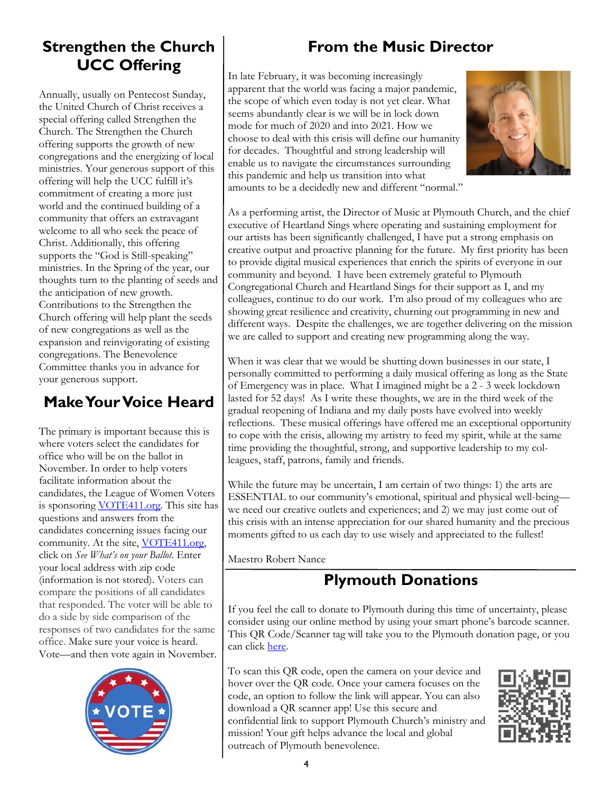## **Strengthen the Church UCC Offering**

Annually, usually on Pentecost Sunday, the United Church of Christ receives a special offering called Strengthen the Church. The Strengthen the Church offering supports the growth of new congregations and the energizing of local ministries. Your generous support of this offering will help the UCC fulfill it's commitment of creating a more just world and the continued building of a community that offers an extravagant welcome to all who seek the peace of Christ. Additionally, this offering supports the "God is Still-speaking" ministries. In the Spring of the year, our thoughts turn to the planting of seeds and the anticipation of new growth. Contributions to the Strengthen the Church offering will help plant the seeds of new congregations as well as the expansion and reinvigorating of existing congregations. The Benevolence Committee thanks you in advance for your generous support.

## **Make Your Voice Heard**

The primary is important because this is where voters select the candidates for office who will be on the ballot in November. In order to help voters facilitate information about the candidates, the League of Women Voters is sponsoring [VOTE411.org.](VOTE411.org) This site has questions and answers from the candidates concerning issues facing our community. At the site, [VOTE411.org,](VOTE411.org) click on *See What's on your Ballot*. Enter your local address with zip code (information is not stored). Voters can compare the positions of all candidates that responded. The voter will be able to do a side by side comparison of the responses of two candidates for the same office. Make sure your voice is heard. Vote—and then vote again in November.



## **From the Music Director**

In late February, it was becoming increasingly apparent that the world was facing a major pandemic, the scope of which even today is not yet clear. What seems abundantly clear is we will be in lock down mode for much of 2020 and into 2021. How we choose to deal with this crisis will define our humanity for decades. Thoughtful and strong leadership will enable us to navigate the circumstances surrounding this pandemic and help us transition into what amounts to be a decidedly new and different "normal."



As a performing artist, the Director of Music at Plymouth Church, and the chief executive of Heartland Sings where operating and sustaining employment for our artists has been significantly challenged, I have put a strong emphasis on creative output and proactive planning for the future. My first priority has been to provide digital musical experiences that enrich the spirits of everyone in our community and beyond. I have been extremely grateful to Plymouth Congregational Church and Heartland Sings for their support as I, and my colleagues, continue to do our work. I'm also proud of my colleagues who are showing great resilience and creativity, churning out programming in new and different ways. Despite the challenges, we are together delivering on the mission we are called to support and creating new programming along the way.

When it was clear that we would be shutting down businesses in our state, I personally committed to performing a daily musical offering as long as the State of Emergency was in place. What I imagined might be a 2 - 3 week lockdown lasted for 52 days! As I write these thoughts, we are in the third week of the gradual reopening of Indiana and my daily posts have evolved into weekly reflections. These musical offerings have offered me an exceptional opportunity to cope with the crisis, allowing my artistry to feed my spirit, while at the same time providing the thoughtful, strong, and supportive leadership to my colleagues, staff, patrons, family and friends.

While the future may be uncertain, I am certain of two things: 1) the arts are ESSENTIAL to our community's emotional, spiritual and physical well-being we need our creative outlets and experiences; and 2) we may just come out of this crisis with an intense appreciation for our shared humanity and the precious moments gifted to us each day to use wisely and appreciated to the fullest!

Maestro Robert Nance

## **Plymouth Donations**

If you feel the call to donate to Plymouth during this time of uncertainty, please consider using our online method by using your smart phone's barcode scanner. This QR Code/Scanner tag will take you to the Plymouth donation page, or you can click [here.](https://www.eservicepayments.com/cgi-bin/Vanco_ver3.vps?appver3=wWsk24ZWJSTZKsGd1RMKlg0BDvsSG3VIWQCPJNNxD8upkiY7JlDavDsozUE7KG0nFx2NSo8LdUKGuGuF396vbVaiPstRo5nGq-DzvnYb662XHubq5Z7ap5JVmPErc4ZeYHCKCZhESjGNQmZ5B-6dx2HOd3DsUXzGmTYEh8VU7JU=&ver=3)

To scan this QR code, open the camera on your device and hover over the QR code. Once your camera focuses on the code, an option to follow the link will appear. You can also download a QR scanner app! Use this secure and confidential link to support Plymouth Church's ministry and mission! Your gift helps advance the local and global outreach of Plymouth benevolence.

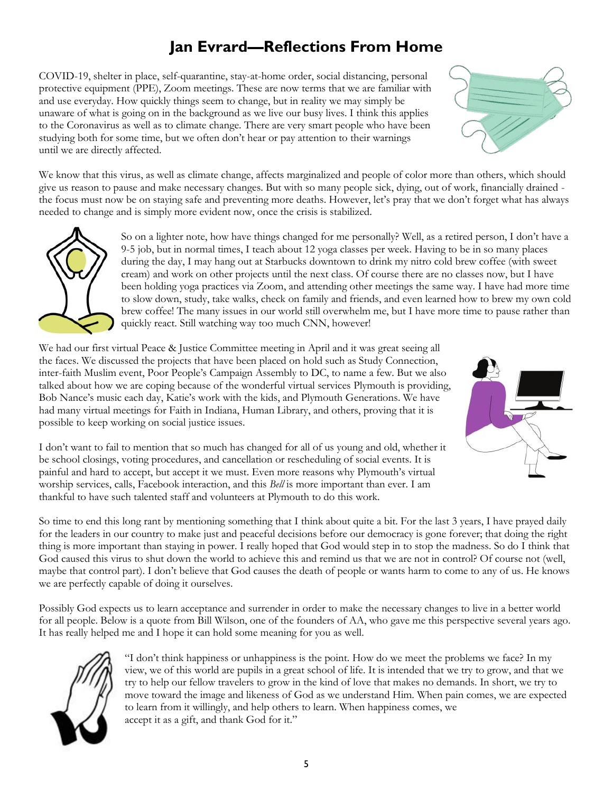## **Jan Evrard—Reflections From Home**

COVID-19, shelter in place, self-quarantine, stay-at-home order, social distancing, personal protective equipment (PPE), Zoom meetings. These are now terms that we are familiar with and use everyday. How quickly things seem to change, but in reality we may simply be unaware of what is going on in the background as we live our busy lives. I think this applies to the Coronavirus as well as to climate change. There are very smart people who have been studying both for some time, but we often don't hear or pay attention to their warnings until we are directly affected.



We know that this virus, as well as climate change, affects marginalized and people of color more than others, which should give us reason to pause and make necessary changes. But with so many people sick, dying, out of work, financially drained the focus must now be on staying safe and preventing more deaths. However, let's pray that we don't forget what has always needed to change and is simply more evident now, once the crisis is stabilized.



So on a lighter note, how have things changed for me personally? Well, as a retired person, I don't have a 9-5 job, but in normal times, I teach about 12 yoga classes per week. Having to be in so many places during the day, I may hang out at Starbucks downtown to drink my nitro cold brew coffee (with sweet cream) and work on other projects until the next class. Of course there are no classes now, but I have been holding yoga practices via Zoom, and attending other meetings the same way. I have had more time to slow down, study, take walks, check on family and friends, and even learned how to brew my own cold brew coffee! The many issues in our world still overwhelm me, but I have more time to pause rather than quickly react. Still watching way too much CNN, however!

We had our first virtual Peace & Justice Committee meeting in April and it was great seeing all the faces. We discussed the projects that have been placed on hold such as Study Connection, inter-faith Muslim event, Poor People's Campaign Assembly to DC, to name a few. But we also talked about how we are coping because of the wonderful virtual services Plymouth is providing, Bob Nance's music each day, Katie's work with the kids, and Plymouth Generations. We have had many virtual meetings for Faith in Indiana, Human Library, and others, proving that it is possible to keep working on social justice issues.



I don't want to fail to mention that so much has changed for all of us young and old, whether it be school closings, voting procedures, and cancellation or rescheduling of social events. It is painful and hard to accept, but accept it we must. Even more reasons why Plymouth's virtual worship services, calls, Facebook interaction, and this *Bell* is more important than ever. I am thankful to have such talented staff and volunteers at Plymouth to do this work.

So time to end this long rant by mentioning something that I think about quite a bit. For the last 3 years, I have prayed daily for the leaders in our country to make just and peaceful decisions before our democracy is gone forever; that doing the right thing is more important than staying in power. I really hoped that God would step in to stop the madness. So do I think that God caused this virus to shut down the world to achieve this and remind us that we are not in control? Of course not (well, maybe that control part). I don't believe that God causes the death of people or wants harm to come to any of us. He knows we are perfectly capable of doing it ourselves.

Possibly God expects us to learn acceptance and surrender in order to make the necessary changes to live in a better world for all people. Below is a quote from Bill Wilson, one of the founders of AA, who gave me this perspective several years ago. It has really helped me and I hope it can hold some meaning for you as well.



"I don't think happiness or unhappiness is the point. How do we meet the problems we face? In my view, we of this world are pupils in a great school of life. It is intended that we try to grow, and that we try to help our fellow travelers to grow in the kind of love that makes no demands. In short, we try to move toward the image and likeness of God as we understand Him. When pain comes, we are expected to learn from it willingly, and help others to learn. When happiness comes, we accept it as a gift, and thank God for it."